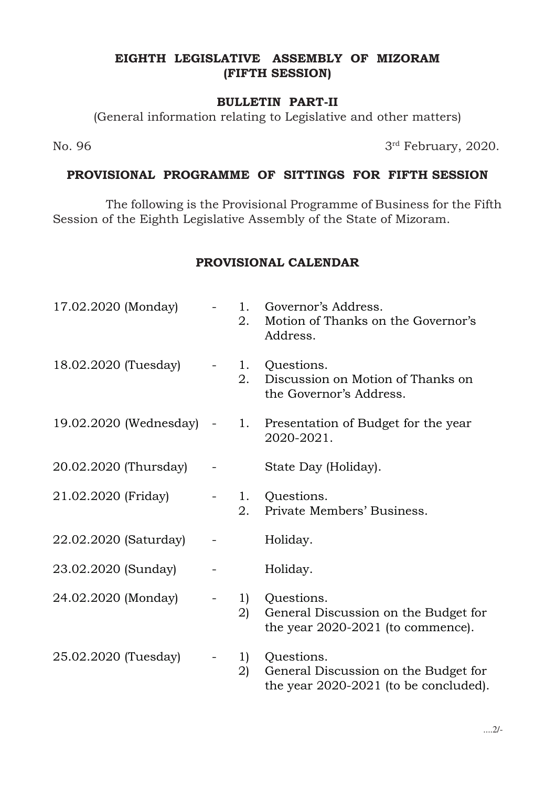#### EIGHTH LEGISLATIVE ASSEMBLY OF MIZORAM (FIFTH SESSION)

## BULLETIN PART-II

(General information relating to Legislative and other matters)

No. 96  $3<sup>rd</sup>$  February, 2020.

#### PROVISIONAL PROGRAMME OF SITTINGS FOR FIFTH SESSION

The following is the Provisional Programme of Business for the Fifth Session of the Eighth Legislative Assembly of the State of Mizoram.

### PROVISIONAL CALENDAR

| 17.02.2020 (Monday)      | 1.<br>2. | Governor's Address.<br>Motion of Thanks on the Governor's<br>Address.                       |
|--------------------------|----------|---------------------------------------------------------------------------------------------|
| 18.02.2020 (Tuesday)     | 2.       | 1. Questions.<br>Discussion on Motion of Thanks on<br>the Governor's Address.               |
| 19.02.2020 (Wednesday) - |          | 1. Presentation of Budget for the year<br>2020-2021.                                        |
| 20.02.2020 (Thursday)    |          | State Day (Holiday).                                                                        |
| 21.02.2020 (Friday)      | 2.       | 1. Questions.<br>Private Members' Business.                                                 |
| 22.02.2020 (Saturday)    |          | Holiday.                                                                                    |
| 23.02.2020 (Sunday)      |          | Holiday.                                                                                    |
| 24.02.2020 (Monday)      | 1)<br>2) | Questions.<br>General Discussion on the Budget for<br>the year $2020-2021$ (to commence).   |
| 25.02.2020 (Tuesday)     | 1)<br>2) | Questions.<br>General Discussion on the Budget for<br>the year 2020-2021 (to be concluded). |